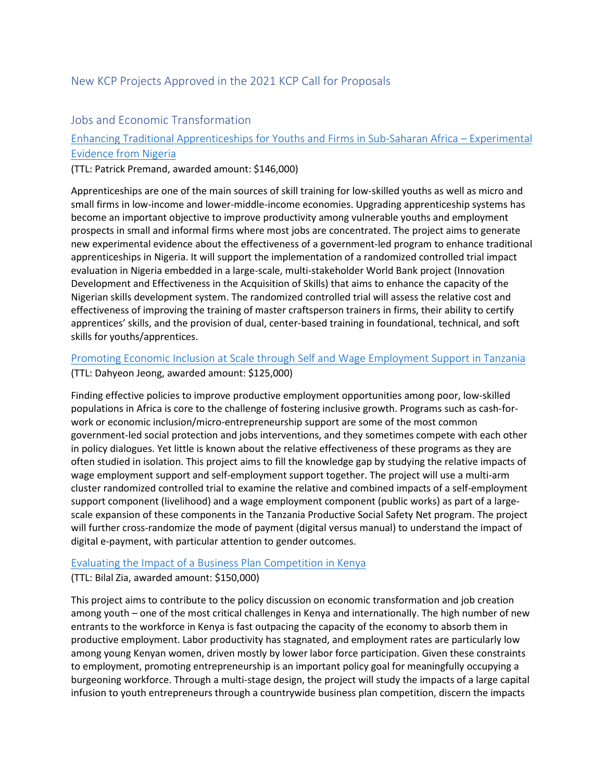## New KCP Projects Approved in the 2021 KCP Call for Proposals

### Jobs and Economic Transformation

# [Enhancing Traditional Apprenticeships for Youths and Firms in Sub-Saharan Africa –](https://thedocs.worldbank.org/en/doc/6880f31ff76f9f0648f74ce9df25a982-0050072021/related/P131.pdf) Experimental [Evidence from Nigeria](https://thedocs.worldbank.org/en/doc/6880f31ff76f9f0648f74ce9df25a982-0050072021/related/P131.pdf)

(TTL: Patrick Premand, awarded amount: \$146,000)

Apprenticeships are one of the main sources of skill training for low-skilled youths as well as micro and small firms in low-income and lower-middle-income economies. Upgrading apprenticeship systems has become an important objective to improve productivity among vulnerable youths and employment prospects in small and informal firms where most jobs are concentrated. The project aims to generate new experimental evidence about the effectiveness of a government-led program to enhance traditional apprenticeships in Nigeria. It will support the implementation of a randomized controlled trial impact evaluation in Nigeria embedded in a large-scale, multi-stakeholder World Bank project (Innovation Development and Effectiveness in the Acquisition of Skills) that aims to enhance the capacity of the Nigerian skills development system. The randomized controlled trial will assess the relative cost and effectiveness of improving the training of master craftsperson trainers in firms, their ability to certify apprentices' skills, and the provision of dual, center-based training in foundational, technical, and soft skills for youths/apprentices.

### [Promoting Economic Inclusion at Scale through Self and Wage Employment Support in Tanzania](https://thedocs.worldbank.org/en/doc/6880f31ff76f9f0648f74ce9df25a982-0050072021/related/P128.pdf)

(TTL: Dahyeon Jeong, awarded amount: \$125,000)

Finding effective policies to improve productive employment opportunities among poor, low-skilled populations in Africa is core to the challenge of fostering inclusive growth. Programs such as cash-forwork or economic inclusion/micro-entrepreneurship support are some of the most common government-led social protection and jobs interventions, and they sometimes compete with each other in policy dialogues. Yet little is known about the relative effectiveness of these programs as they are often studied in isolation. This project aims to fill the knowledge gap by studying the relative impacts of wage employment support and self-employment support together. The project will use a multi-arm cluster randomized controlled trial to examine the relative and combined impacts of a self-employment support component (livelihood) and a wage employment component (public works) as part of a largescale expansion of these components in the Tanzania Productive Social Safety Net program. The project will further cross-randomize the mode of payment (digital versus manual) to understand the impact of digital e-payment, with particular attention to gender outcomes.

#### [Evaluating the Impact of a Business Plan Competition in Kenya](https://thedocs.worldbank.org/en/doc/6880f31ff76f9f0648f74ce9df25a982-0050072021/related/P101.pdf)

#### (TTL: Bilal Zia, awarded amount: \$150,000)

This project aims to contribute to the policy discussion on economic transformation and job creation among youth – one of the most critical challenges in Kenya and internationally. The high number of new entrants to the workforce in Kenya is fast outpacing the capacity of the economy to absorb them in productive employment. Labor productivity has stagnated, and employment rates are particularly low among young Kenyan women, driven mostly by lower labor force participation. Given these constraints to employment, promoting entrepreneurship is an important policy goal for meaningfully occupying a burgeoning workforce. Through a multi-stage design, the project will study the impacts of a large capital infusion to youth entrepreneurs through a countrywide business plan competition, discern the impacts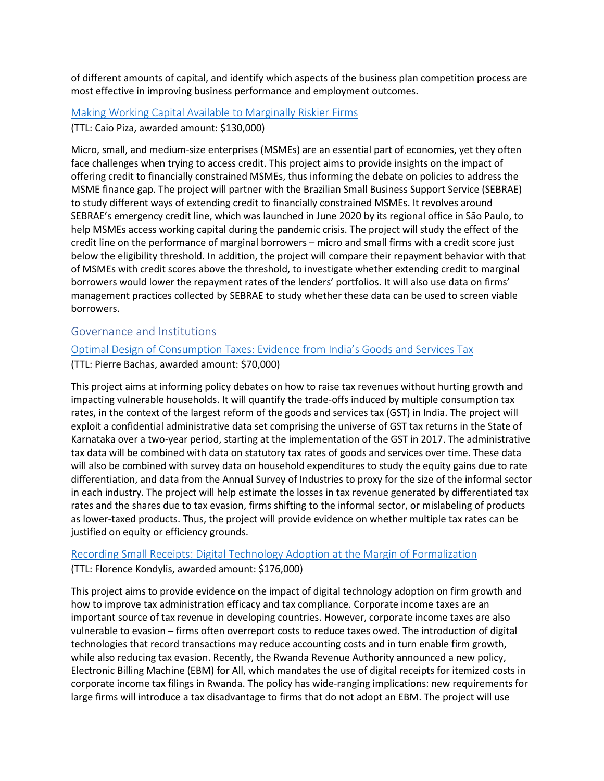of different amounts of capital, and identify which aspects of the business plan competition process are most effective in improving business performance and employment outcomes.

## [Making Working Capital Available to Marginally Riskier Firms](https://thedocs.worldbank.org/en/doc/6880f31ff76f9f0648f74ce9df25a982-0050072021/related/P125.pdf) (TTL: Caio Piza, awarded amount: \$130,000)

Micro, small, and medium-size enterprises (MSMEs) are an essential part of economies, yet they often face challenges when trying to access credit. This project aims to provide insights on the impact of offering credit to financially constrained MSMEs, thus informing the debate on policies to address the MSME finance gap. The project will partner with the Brazilian Small Business Support Service (SEBRAE) to study different ways of extending credit to financially constrained MSMEs. It revolves around SEBRAE's emergency credit line, which was launched in June 2020 by its regional office in São Paulo, to help MSMEs access working capital during the pandemic crisis. The project will study the effect of the credit line on the performance of marginal borrowers – micro and small firms with a credit score just below the eligibility threshold. In addition, the project will compare their repayment behavior with that of MSMEs with credit scores above the threshold, to investigate whether extending credit to marginal borrowers would lower the repayment rates of the lenders' portfolios. It will also use data on firms' management practices collected by SEBRAE to study whether these data can be used to screen viable borrowers.

### Governance and Institutions

### [Optimal Design of Consumption Taxes: Evidence from India's Goods and Services Tax](https://thedocs.worldbank.org/en/doc/6880f31ff76f9f0648f74ce9df25a982-0050072021/related/P111.pdf) (TTL: Pierre Bachas, awarded amount: \$70,000)

This project aims at informing policy debates on how to raise tax revenues without hurting growth and impacting vulnerable households. It will quantify the trade-offs induced by multiple consumption tax rates, in the context of the largest reform of the goods and services tax (GST) in India. The project will exploit a confidential administrative data set comprising the universe of GST tax returns in the State of Karnataka over a two-year period, starting at the implementation of the GST in 2017. The administrative tax data will be combined with data on statutory tax rates of goods and services over time. These data will also be combined with survey data on household expenditures to study the equity gains due to rate differentiation, and data from the Annual Survey of Industries to proxy for the size of the informal sector in each industry. The project will help estimate the losses in tax revenue generated by differentiated tax rates and the shares due to tax evasion, firms shifting to the informal sector, or mislabeling of products as lower-taxed products. Thus, the project will provide evidence on whether multiple tax rates can be justified on equity or efficiency grounds.

## [Recording Small Receipts: Digital Technology Adoption at the](https://thedocs.worldbank.org/en/doc/6880f31ff76f9f0648f74ce9df25a982-0050072021/related/P123.pdf) Margin of Formalization (TTL: Florence Kondylis, awarded amount: \$176,000)

This project aims to provide evidence on the impact of digital technology adoption on firm growth and how to improve tax administration efficacy and tax compliance. Corporate income taxes are an important source of tax revenue in developing countries. However, corporate income taxes are also vulnerable to evasion – firms often overreport costs to reduce taxes owed. The introduction of digital technologies that record transactions may reduce accounting costs and in turn enable firm growth, while also reducing tax evasion. Recently, the Rwanda Revenue Authority announced a new policy, Electronic Billing Machine (EBM) for All, which mandates the use of digital receipts for itemized costs in corporate income tax filings in Rwanda. The policy has wide-ranging implications: new requirements for large firms will introduce a tax disadvantage to firms that do not adopt an EBM. The project will use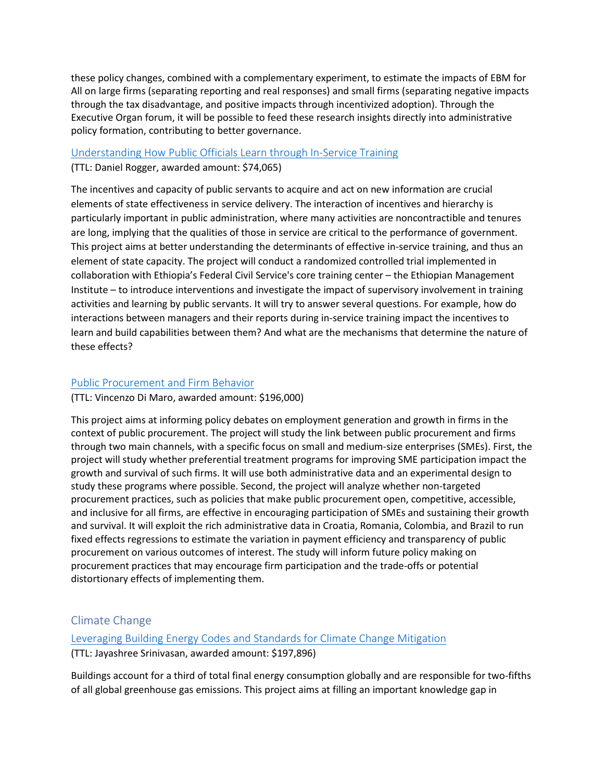these policy changes, combined with a complementary experiment, to estimate the impacts of EBM for All on large firms (separating reporting and real responses) and small firms (separating negative impacts through the tax disadvantage, and positive impacts through incentivized adoption). Through the Executive Organ forum, it will be possible to feed these research insights directly into administrative policy formation, contributing to better governance.

#### [Understanding How Public Officials Learn through In-Service Training](https://thedocs.worldbank.org/en/doc/6880f31ff76f9f0648f74ce9df25a982-0050072021/related/P139.pdf)

(TTL: Daniel Rogger, awarded amount: \$74,065)

The incentives and capacity of public servants to acquire and act on new information are crucial elements of state effectiveness in service delivery. The interaction of incentives and hierarchy is particularly important in public administration, where many activities are noncontractible and tenures are long, implying that the qualities of those in service are critical to the performance of government. This project aims at better understanding the determinants of effective in-service training, and thus an element of state capacity. The project will conduct a randomized controlled trial implemented in collaboration with Ethiopia's Federal Civil Service's core training center – the Ethiopian Management Institute – to introduce interventions and investigate the impact of supervisory involvement in training activities and learning by public servants. It will try to answer several questions. For example, how do interactions between managers and their reports during in-service training impact the incentives to learn and build capabilities between them? And what are the mechanisms that determine the nature of these effects?

### [Public Procurement and Firm Behavior](https://thedocs.worldbank.org/en/doc/6880f31ff76f9f0648f74ce9df25a982-0050072021/related/P137.pdf)

(TTL: Vincenzo Di Maro, awarded amount: \$196,000)

This project aims at informing policy debates on employment generation and growth in firms in the context of public procurement. The project will study the link between public procurement and firms through two main channels, with a specific focus on small and medium-size enterprises (SMEs). First, the project will study whether preferential treatment programs for improving SME participation impact the growth and survival of such firms. It will use both administrative data and an experimental design to study these programs where possible. Second, the project will analyze whether non-targeted procurement practices, such as policies that make public procurement open, competitive, accessible, and inclusive for all firms, are effective in encouraging participation of SMEs and sustaining their growth and survival. It will exploit the rich administrative data in Croatia, Romania, Colombia, and Brazil to run fixed effects regressions to estimate the variation in payment efficiency and transparency of public procurement on various outcomes of interest. The study will inform future policy making on procurement practices that may encourage firm participation and the trade-offs or potential distortionary effects of implementing them.

## Climate Change

[Leveraging Building Energy Codes and Standards for Climate Change Mitigation](https://thedocs.worldbank.org/en/doc/6880f31ff76f9f0648f74ce9df25a982-0050072021/related/P133.pdf) (TTL: Jayashree Srinivasan, awarded amount: \$197,896)

Buildings account for a third of total final energy consumption globally and are responsible for two-fifths of all global greenhouse gas emissions. This project aims at filling an important knowledge gap in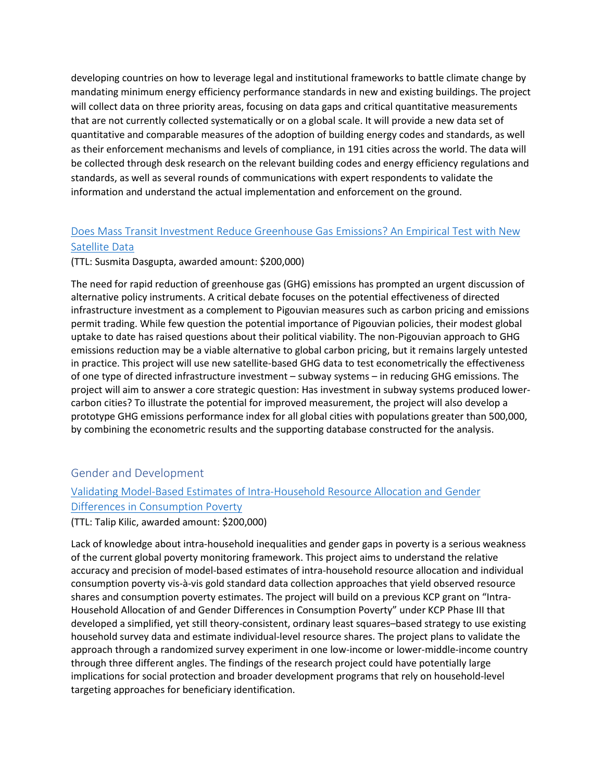developing countries on how to leverage legal and institutional frameworks to battle climate change by mandating minimum energy efficiency performance standards in new and existing buildings. The project will collect data on three priority areas, focusing on data gaps and critical quantitative measurements that are not currently collected systematically or on a global scale. It will provide a new data set of quantitative and comparable measures of the adoption of building energy codes and standards, as well as their enforcement mechanisms and levels of compliance, in 191 cities across the world. The data will be collected through desk research on the relevant building codes and energy efficiency regulations and standards, as well as several rounds of communications with expert respondents to validate the information and understand the actual implementation and enforcement on the ground.

## [Does Mass Transit Investment Reduce Greenhouse Gas Emissions? An Empirical Test with New](https://thedocs.worldbank.org/en/doc/6880f31ff76f9f0648f74ce9df25a982-0050072021/related/P105.pdf)  [Satellite Data](https://thedocs.worldbank.org/en/doc/6880f31ff76f9f0648f74ce9df25a982-0050072021/related/P105.pdf)

#### (TTL: Susmita Dasgupta, awarded amount: \$200,000)

The need for rapid reduction of greenhouse gas (GHG) emissions has prompted an urgent discussion of alternative policy instruments. A critical debate focuses on the potential effectiveness of directed infrastructure investment as a complement to Pigouvian measures such as carbon pricing and emissions permit trading. While few question the potential importance of Pigouvian policies, their modest global uptake to date has raised questions about their political viability. The non-Pigouvian approach to GHG emissions reduction may be a viable alternative to global carbon pricing, but it remains largely untested in practice. This project will use new satellite-based GHG data to test econometrically the effectiveness of one type of directed infrastructure investment – subway systems – in reducing GHG emissions. The project will aim to answer a core strategic question: Has investment in subway systems produced lowercarbon cities? To illustrate the potential for improved measurement, the project will also develop a prototype GHG emissions performance index for all global cities with populations greater than 500,000, by combining the econometric results and the supporting database constructed for the analysis.

### Gender and Development

# [Validating Model-Based Estimates of Intra-Household Resource Allocation and Gender](https://thedocs.worldbank.org/en/doc/6880f31ff76f9f0648f74ce9df25a982-0050072021/related/P119.pdf)  [Differences in Consumption Poverty](https://thedocs.worldbank.org/en/doc/6880f31ff76f9f0648f74ce9df25a982-0050072021/related/P119.pdf)

(TTL: Talip Kilic, awarded amount: \$200,000)

Lack of knowledge about intra-household inequalities and gender gaps in poverty is a serious weakness of the current global poverty monitoring framework. This project aims to understand the relative accuracy and precision of model-based estimates of intra-household resource allocation and individual consumption poverty vis-à-vis gold standard data collection approaches that yield observed resource shares and consumption poverty estimates. The project will build on a previous KCP grant on "Intra-Household Allocation of and Gender Differences in Consumption Poverty" under KCP Phase III that developed a simplified, yet still theory-consistent, ordinary least squares–based strategy to use existing household survey data and estimate individual-level resource shares. The project plans to validate the approach through a randomized survey experiment in one low-income or lower-middle-income country through three different angles. The findings of the research project could have potentially large implications for social protection and broader development programs that rely on household-level targeting approaches for beneficiary identification.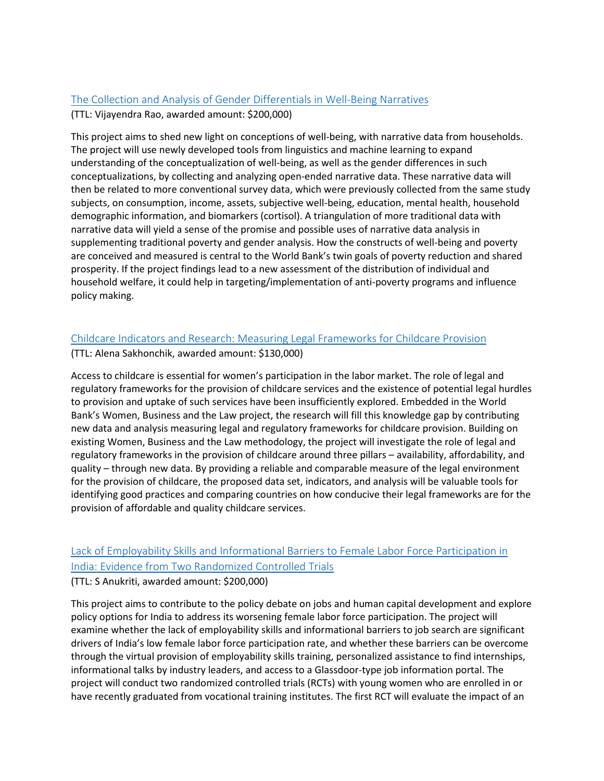#### [The Collection and Analysis of Gender Differentials in Well-Being Narratives](https://thedocs.worldbank.org/en/doc/6880f31ff76f9f0648f74ce9df25a982-0050072021/related/P129.pdf)

(TTL: Vijayendra Rao, awarded amount: \$200,000)

This project aims to shed new light on conceptions of well-being, with narrative data from households. The project will use newly developed tools from linguistics and machine learning to expand understanding of the conceptualization of well-being, as well as the gender differences in such conceptualizations, by collecting and analyzing open-ended narrative data. These narrative data will then be related to more conventional survey data, which were previously collected from the same study subjects, on consumption, income, assets, subjective well-being, education, mental health, household demographic information, and biomarkers (cortisol). A triangulation of more traditional data with narrative data will yield a sense of the promise and possible uses of narrative data analysis in supplementing traditional poverty and gender analysis. How the constructs of well-being and poverty are conceived and measured is central to the World Bank's twin goals of poverty reduction and shared prosperity. If the project findings lead to a new assessment of the distribution of individual and household welfare, it could help in targeting/implementation of anti-poverty programs and influence policy making.

### [Childcare Indicators and Research: Measuring Legal Frameworks for Childcare Provision](https://thedocs.worldbank.org/en/doc/6880f31ff76f9f0648f74ce9df25a982-0050072021/related/P112.pdf)

(TTL: Alena Sakhonchik, awarded amount: \$130,000)

Access to childcare is essential for women's participation in the labor market. The role of legal and regulatory frameworks for the provision of childcare services and the existence of potential legal hurdles to provision and uptake of such services have been insufficiently explored. Embedded in the World Bank's Women, Business and the Law project, the research will fill this knowledge gap by contributing new data and analysis measuring legal and regulatory frameworks for childcare provision. Building on existing Women, Business and the Law methodology, the project will investigate the role of legal and regulatory frameworks in the provision of childcare around three pillars – availability, affordability, and quality – through new data. By providing a reliable and comparable measure of the legal environment for the provision of childcare, the proposed data set, indicators, and analysis will be valuable tools for identifying good practices and comparing countries on how conducive their legal frameworks are for the provision of affordable and quality childcare services.

## [Lack of Employability Skills and Informational Barriers to Female Labor Force Participation in](https://thedocs.worldbank.org/en/doc/6880f31ff76f9f0648f74ce9df25a982-0050072021/related/P106.pdf)  [India: Evidence from Two Randomized Controlled Trials](https://thedocs.worldbank.org/en/doc/6880f31ff76f9f0648f74ce9df25a982-0050072021/related/P106.pdf)

#### (TTL: S Anukriti, awarded amount: \$200,000)

This project aims to contribute to the policy debate on jobs and human capital development and explore policy options for India to address its worsening female labor force participation. The project will examine whether the lack of employability skills and informational barriers to job search are significant drivers of India's low female labor force participation rate, and whether these barriers can be overcome through the virtual provision of employability skills training, personalized assistance to find internships, informational talks by industry leaders, and access to a Glassdoor-type job information portal. The project will conduct two randomized controlled trials (RCTs) with young women who are enrolled in or have recently graduated from vocational training institutes. The first RCT will evaluate the impact of an